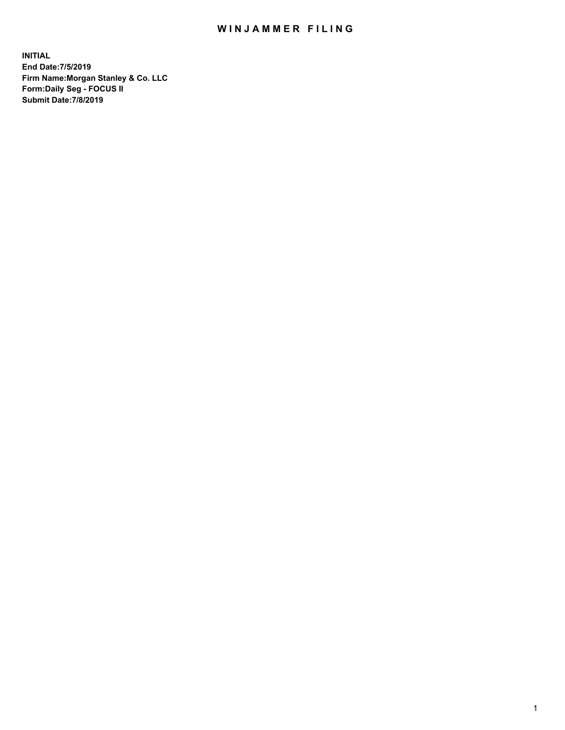## WIN JAMMER FILING

**INITIAL End Date:7/5/2019 Firm Name:Morgan Stanley & Co. LLC Form:Daily Seg - FOCUS II Submit Date:7/8/2019**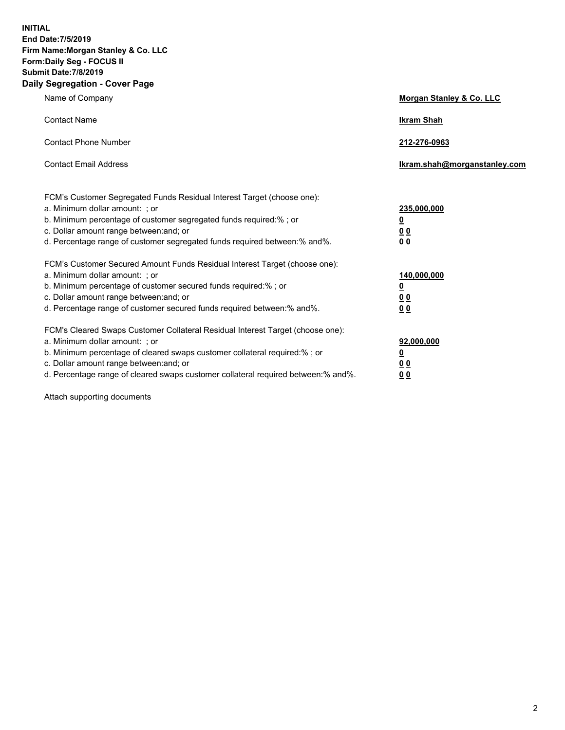**INITIAL End Date:7/5/2019 Firm Name:Morgan Stanley & Co. LLC Form:Daily Seg - FOCUS II Submit Date:7/8/2019 Daily Segregation - Cover Page**

| Name of Company                                                                                                                                                                                                                                                                                                                | Morgan Stanley & Co. LLC                                             |
|--------------------------------------------------------------------------------------------------------------------------------------------------------------------------------------------------------------------------------------------------------------------------------------------------------------------------------|----------------------------------------------------------------------|
| <b>Contact Name</b>                                                                                                                                                                                                                                                                                                            | <b>Ikram Shah</b>                                                    |
| <b>Contact Phone Number</b>                                                                                                                                                                                                                                                                                                    | 212-276-0963                                                         |
| <b>Contact Email Address</b>                                                                                                                                                                                                                                                                                                   | lkram.shah@morganstanley.com                                         |
| FCM's Customer Segregated Funds Residual Interest Target (choose one):<br>a. Minimum dollar amount: ; or<br>b. Minimum percentage of customer segregated funds required:%; or<br>c. Dollar amount range between: and; or<br>d. Percentage range of customer segregated funds required between:% and%.                          | 235,000,000<br><u>0</u><br>0 Q<br>0 Q                                |
| FCM's Customer Secured Amount Funds Residual Interest Target (choose one):<br>a. Minimum dollar amount: ; or<br>b. Minimum percentage of customer secured funds required:%; or<br>c. Dollar amount range between: and; or<br>d. Percentage range of customer secured funds required between:% and%.                            | 140,000,000<br><u>0</u><br><u>00</u><br>0 <sup>0</sup>               |
| FCM's Cleared Swaps Customer Collateral Residual Interest Target (choose one):<br>a. Minimum dollar amount: ; or<br>b. Minimum percentage of cleared swaps customer collateral required:% ; or<br>c. Dollar amount range between: and; or<br>d. Percentage range of cleared swaps customer collateral required between:% and%. | 92,000,000<br>$\overline{\mathbf{0}}$<br><u>00</u><br>0 <sub>0</sub> |

Attach supporting documents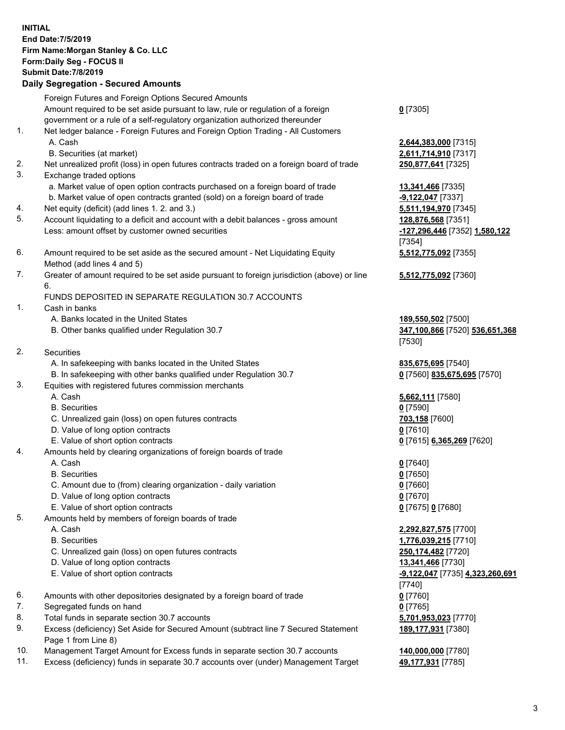| <b>INITIAL</b> | End Date: 7/5/2019<br>Firm Name: Morgan Stanley & Co. LLC<br>Form: Daily Seg - FOCUS II<br><b>Submit Date: 7/8/2019</b><br><b>Daily Segregation - Secured Amounts</b>                                          |                                                                         |
|----------------|----------------------------------------------------------------------------------------------------------------------------------------------------------------------------------------------------------------|-------------------------------------------------------------------------|
|                | Foreign Futures and Foreign Options Secured Amounts<br>Amount required to be set aside pursuant to law, rule or regulation of a foreign                                                                        | $0$ [7305]                                                              |
| 1.             | government or a rule of a self-regulatory organization authorized thereunder<br>Net ledger balance - Foreign Futures and Foreign Option Trading - All Customers<br>A. Cash<br>B. Securities (at market)        | 2,644,383,000 [7315]<br>2,611,714,910 [7317]                            |
| 2.<br>3.       | Net unrealized profit (loss) in open futures contracts traded on a foreign board of trade<br>Exchange traded options                                                                                           | 250,877,641 [7325]                                                      |
| 4.             | a. Market value of open option contracts purchased on a foreign board of trade<br>b. Market value of open contracts granted (sold) on a foreign board of trade<br>Net equity (deficit) (add lines 1.2. and 3.) | <b>13,341,466</b> [7335]<br>$-9,122,047$ [7337]<br>5,511,194,970 [7345] |
| 5.             | Account liquidating to a deficit and account with a debit balances - gross amount<br>Less: amount offset by customer owned securities                                                                          | 128,876,568 [7351]<br>-127,296,446 [7352] 1,580,122<br>[7354]           |
| 6.             | Amount required to be set aside as the secured amount - Net Liquidating Equity<br>Method (add lines 4 and 5)                                                                                                   | 5,512,775,092 [7355]                                                    |
| 7.             | Greater of amount required to be set aside pursuant to foreign jurisdiction (above) or line<br>6.                                                                                                              | 5,512,775,092 [7360]                                                    |
| 1.             | FUNDS DEPOSITED IN SEPARATE REGULATION 30.7 ACCOUNTS<br>Cash in banks                                                                                                                                          |                                                                         |
|                | A. Banks located in the United States<br>B. Other banks qualified under Regulation 30.7                                                                                                                        | 189,550,502 [7500]<br>347,100,866 [7520] 536,651,368<br>[7530]          |
| 2.             | Securities                                                                                                                                                                                                     |                                                                         |
|                | A. In safekeeping with banks located in the United States                                                                                                                                                      | 835,675,695 [7540]                                                      |
| 3.             | B. In safekeeping with other banks qualified under Regulation 30.7<br>Equities with registered futures commission merchants                                                                                    | 0 [7560] 835,675,695 [7570]                                             |
|                | A. Cash                                                                                                                                                                                                        | 5,662,111 [7580]                                                        |
|                | <b>B.</b> Securities                                                                                                                                                                                           | $0$ [7590]                                                              |
|                | C. Unrealized gain (loss) on open futures contracts<br>D. Value of long option contracts                                                                                                                       | 703,158 [7600]<br>0[7610]                                               |
|                | E. Value of short option contracts                                                                                                                                                                             | 0 [7615] 6,365,269 [7620]                                               |
| 4.             | Amounts held by clearing organizations of foreign boards of trade<br>A. Cash                                                                                                                                   | $0$ [7640]                                                              |
|                | <b>B.</b> Securities                                                                                                                                                                                           | $0$ [7650]                                                              |
|                | C. Amount due to (from) clearing organization - daily variation                                                                                                                                                | $0$ [7660]                                                              |
|                | D. Value of long option contracts                                                                                                                                                                              | $0$ [7670]                                                              |
|                | E. Value of short option contracts                                                                                                                                                                             | 0 [7675] 0 [7680]                                                       |
| 5.             | Amounts held by members of foreign boards of trade                                                                                                                                                             |                                                                         |
|                | A. Cash                                                                                                                                                                                                        | 2,292,827,575 [7700]                                                    |
|                | <b>B.</b> Securities                                                                                                                                                                                           | 1,776,039,215 [7710]                                                    |
|                | C. Unrealized gain (loss) on open futures contracts                                                                                                                                                            | 250,174,482 [7720]                                                      |
|                | D. Value of long option contracts                                                                                                                                                                              | 13,341,466 [7730]                                                       |
|                | E. Value of short option contracts                                                                                                                                                                             | <u>-9,122,047</u> [7735] 4,323,260,691<br>$[7740]$                      |
| 6.             | Amounts with other depositories designated by a foreign board of trade                                                                                                                                         | $0$ [7760]                                                              |
| 7.             | Segregated funds on hand                                                                                                                                                                                       | $0$ [7765]                                                              |
| 8.             | Total funds in separate section 30.7 accounts                                                                                                                                                                  | 5,701,953,023 [7770]                                                    |
| 9.             | Excess (deficiency) Set Aside for Secured Amount (subtract line 7 Secured Statement<br>Page 1 from Line 8)                                                                                                     | 189,177,931 [7380]                                                      |
|                |                                                                                                                                                                                                                |                                                                         |

- 10. Management Target Amount for Excess funds in separate section 30.7 accounts **140,000,000** [7780]
- 11. Excess (deficiency) funds in separate 30.7 accounts over (under) Management Target 49,177,931 [7785]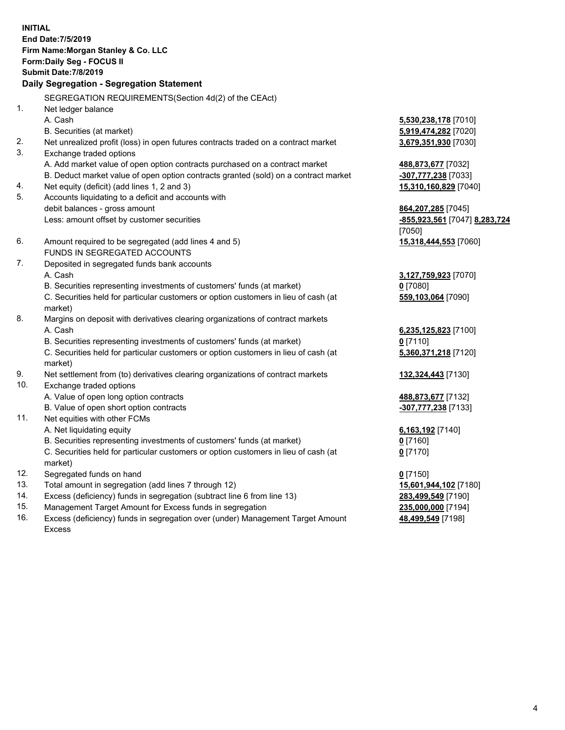**INITIAL End Date:7/5/2019 Firm Name:Morgan Stanley & Co. LLC Form:Daily Seg - FOCUS II Submit Date:7/8/2019 Daily Segregation - Segregation Statement** SEGREGATION REQUIREMENTS(Section 4d(2) of the CEAct) 1. Net ledger balance A. Cash **5,530,238,178** [7010] B. Securities (at market) **5,919,474,282** [7020] 2. Net unrealized profit (loss) in open futures contracts traded on a contract market **3,679,351,930** [7030] 3. Exchange traded options A. Add market value of open option contracts purchased on a contract market **488,873,677** [7032] B. Deduct market value of open option contracts granted (sold) on a contract market **-307,777,238** [7033] 4. Net equity (deficit) (add lines 1, 2 and 3) **15,310,160,829** [7040] 5. Accounts liquidating to a deficit and accounts with debit balances - gross amount **864,207,285** [7045] Less: amount offset by customer securities **-855,923,561** [7047] **8,283,724** [7050] 6. Amount required to be segregated (add lines 4 and 5) **15,318,444,553** [7060] FUNDS IN SEGREGATED ACCOUNTS 7. Deposited in segregated funds bank accounts A. Cash **3,127,759,923** [7070] B. Securities representing investments of customers' funds (at market) **0** [7080] C. Securities held for particular customers or option customers in lieu of cash (at market) **559,103,064** [7090] 8. Margins on deposit with derivatives clearing organizations of contract markets A. Cash **6,235,125,823** [7100] B. Securities representing investments of customers' funds (at market) **0** [7110] C. Securities held for particular customers or option customers in lieu of cash (at market) **5,360,371,218** [7120] 9. Net settlement from (to) derivatives clearing organizations of contract markets **132,324,443** [7130] 10. Exchange traded options A. Value of open long option contracts **488,873,677** [7132] B. Value of open short option contracts **-307,777,238** [7133] 11. Net equities with other FCMs A. Net liquidating equity **6,163,192** [7140] B. Securities representing investments of customers' funds (at market) **0** [7160] C. Securities held for particular customers or option customers in lieu of cash (at market) **0** [7170] 12. Segregated funds on hand **0** [7150] 13. Total amount in segregation (add lines 7 through 12) **15,601,944,102** [7180] 14. Excess (deficiency) funds in segregation (subtract line 6 from line 13) **283,499,549** [7190]

- 15. Management Target Amount for Excess funds in segregation **235,000,000** [7194]
- 16. Excess (deficiency) funds in segregation over (under) Management Target Amount Excess

**48,499,549** [7198]